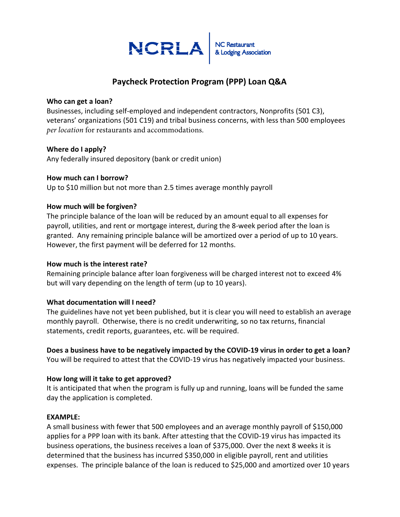

## **Paycheck Protection Program (PPP) Loan Q&A**

#### **Who can get a loan?**

Businesses, including self-employed and independent contractors, Nonprofits (501 C3), veterans' organizations (501 C19) and tribal business concerns, with less than 500 employees *per location* for restaurants and accommodations.

#### **Where do I apply?**

Any federally insured depository (bank or credit union)

#### **How much can I borrow?**

Up to \$10 million but not more than 2.5 times average monthly payroll

#### **How much will be forgiven?**

The principle balance of the loan will be reduced by an amount equal to all expenses for payroll, utilities, and rent or mortgage interest, during the 8-week period after the loan is granted. Any remaining principle balance will be amortized over a period of up to 10 years. However, the first payment will be deferred for 12 months.

#### **How much is the interest rate?**

Remaining principle balance after loan forgiveness will be charged interest not to exceed 4% but will vary depending on the length of term (up to 10 years).

#### **What documentation will I need?**

The guidelines have not yet been published, but it is clear you will need to establish an average monthly payroll. Otherwise, there is no credit underwriting, so no tax returns, financial statements, credit reports, guarantees, etc. will be required.

# **Does a business have to be negatively impacted by the COVID-19 virus in order to get a loan?**

You will be required to attest that the COVID-19 virus has negatively impacted your business.

### **How long will it take to get approved?**

It is anticipated that when the program is fully up and running, loans will be funded the same day the application is completed.

#### **EXAMPLE:**

A small business with fewer that 500 employees and an average monthly payroll of \$150,000 applies for a PPP loan with its bank. After attesting that the COVID-19 virus has impacted its business operations, the business receives a loan of \$375,000. Over the next 8 weeks it is determined that the business has incurred \$350,000 in eligible payroll, rent and utilities expenses. The principle balance of the loan is reduced to \$25,000 and amortized over 10 years